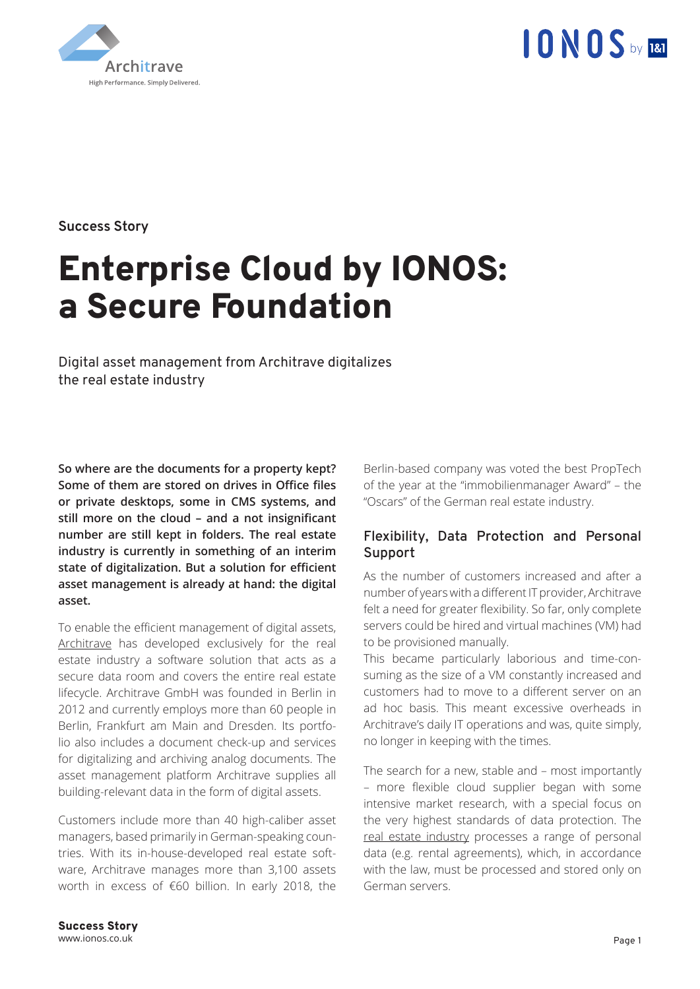



**Success Story**

## Enterprise Cloud by IONOS: a Secure Foundation

Digital asset management from Architrave digitalizes the real estate industry

**So where are the documents for a property kept? Some of them are stored on drives in Office files or private desktops, some in CMS systems, and still more on the cloud – and a not insignificant number are still kept in folders. The real estate industry is currently in something of an interim state of digitalization. But a solution for efficient asset management is already at hand: the digital asset.**

To enable the efficient management of digital assets, [Architrave](https://www.architrave.de/en/) has developed exclusively for the real estate industry a software solution that acts as a secure data room and covers the entire real estate lifecycle. Architrave GmbH was founded in Berlin in 2012 and currently employs more than 60 people in Berlin, Frankfurt am Main and Dresden. Its portfolio also includes a document check-up and services for digitalizing and archiving analog documents. The asset management platform Architrave supplies all building-relevant data in the form of digital assets.

Customers include more than 40 high-caliber asset managers, based primarily in German-speaking countries. With its in-house-developed real estate software, Architrave manages more than 3,100 assets worth in excess of €60 billion. In early 2018, the

Berlin-based company was voted the best PropTech of the year at the "immobilienmanager Award" – the "Oscars" of the German real estate industry.

### **Flexibility, Data Protection and Personal Support**

As the number of customers increased and after a number of years with a different IT provider, Architrave felt a need for greater flexibility. So far, only complete servers could be hired and virtual machines (VM) had to be provisioned manually.

This became particularly laborious and time-consuming as the size of a VM constantly increased and customers had to move to a different server on an ad hoc basis. This meant excessive overheads in Architrave's daily IT operations and was, quite simply, no longer in keeping with the times.

The search for a new, stable and – most importantly – more flexible cloud supplier began with some intensive market research, with a special focus on the very highest standards of data protection. The [real estate industry](https://www.ionos.com/pro/enterprise-cloud/digitalization-smes/) processes a range of personal data (e.g. rental agreements), which, in accordance with the law, must be processed and stored only on German servers.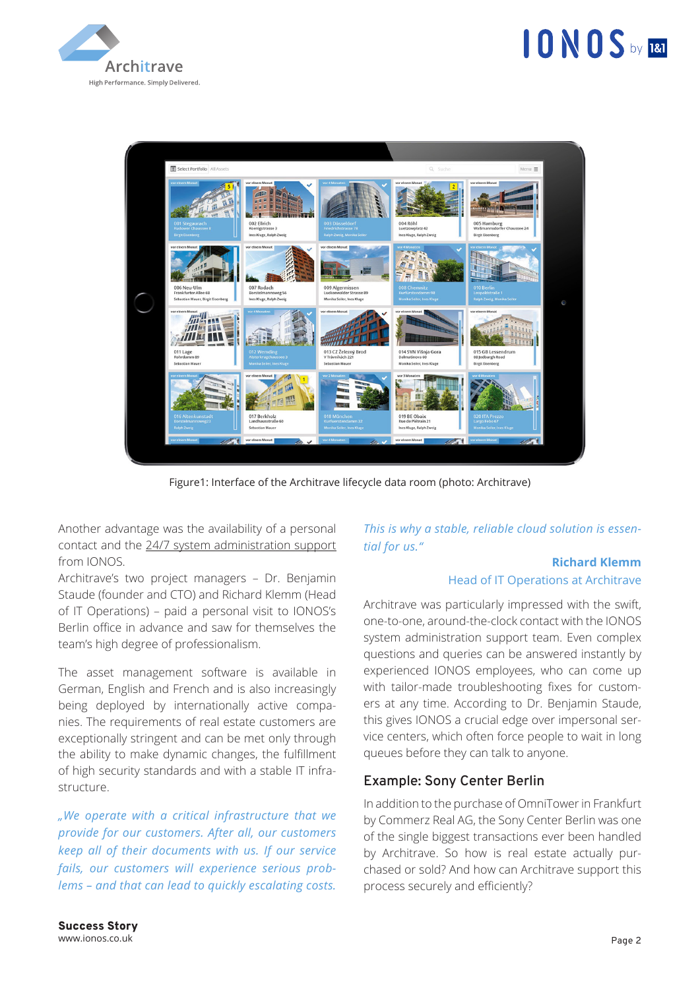



Figure1: Interface of the Architrave lifecycle data room (photo: Architrave)

Another advantage was the availability of a personal contact and the [24/7 system administration support](https://www.ionos.com/pro/enterprise-cloud/) from IONOS.

Architrave's two project managers – Dr. Benjamin Staude (founder and CTO) and Richard Klemm (Head of IT Operations) – paid a personal visit to IONOS's Berlin office in advance and saw for themselves the team's high degree of professionalism.

The asset management software is available in German, English and French and is also increasingly being deployed by internationally active companies. The requirements of real estate customers are exceptionally stringent and can be met only through the ability to make dynamic changes, the fulfillment of high security standards and with a stable IT infrastructure.

*"We operate with a critical infrastructure that we provide for our customers. After all, our customers keep all of their documents with us. If our service fails, our customers will experience serious problems – and that can lead to quickly escalating costs.* 

*This is why a stable, reliable cloud solution is essential for us."*

#### **Richard Klemm**  Head of IT Operations at Architrave

Architrave was particularly impressed with the swift, one-to-one, around-the-clock contact with the IONOS system administration support team. Even complex questions and queries can be answered instantly by experienced IONOS employees, who can come up with tailor-made troubleshooting fixes for customers at any time. According to Dr. Benjamin Staude, this gives IONOS a crucial edge over impersonal service centers, which often force people to wait in long queues before they can talk to anyone.

### **Example: Sony Center Berlin**

In addition to the purchase of OmniTower in Frankfurt by Commerz Real AG, the Sony Center Berlin was one of the single biggest transactions ever been handled by Architrave. So how is real estate actually purchased or sold? And how can Architrave support this process securely and efficiently?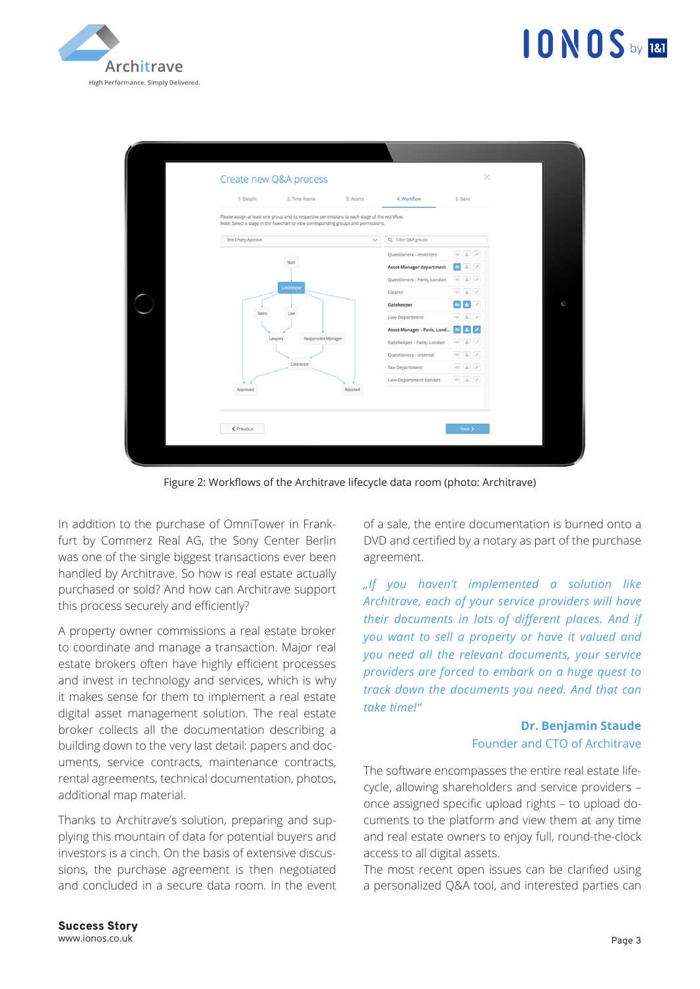



Figure 2: Workflows of the Architrave lifecycle data room (photo: Architrave)

In addition to the purchase of OmniTower in Frankfurt by Commerz Real AG, the Sony Center Berlin was one of the single biggest transactions ever been handled by Architrave. So how is real estate actually purchased or sold? And how can Architrave support this process securely and efficiently?

A property owner commissions a real estate broker to coordinate and manage a transaction. Major real estate brokers often have highly efficient processes and invest in technology and services, which is why it makes sense for them to implement a real estate digital asset management solution. The real estate broker collects all the documentation describing a building down to the very last detail: papers and documents, service contracts, maintenance contracts, rental agreements, technical documentation, photos, additional map material.

Thanks to Architrave's solution, preparing and supplying this mountain of data for potential buyers and investors is a cinch. On the basis of extensive discussions, the purchase agreement is then negotiated and concluded in a secure data room. In the event of a sale, the entire documentation is burned onto a DVD and certified by a notary as part of the purchase agreement.

*"If you haven't implemented a solution like Architrave, each of your service providers will have their documents in lots of different places. And if you want to sell a property or have it valued and you need all the relevant documents, your service providers are forced to embark on a huge quest to track down the documents you need. And that can take time!"*

#### **Dr. Benjamin Staude**  Founder and CTO of Architrave

The software encompasses the entire real estate lifecycle, allowing shareholders and service providers – once assigned specific upload rights – to upload documents to the platform and view them at any time and real estate owners to enjoy full, round-the-clock access to all digital assets.

The most recent open issues can be clarified using a personalized Q&A tool, and interested parties can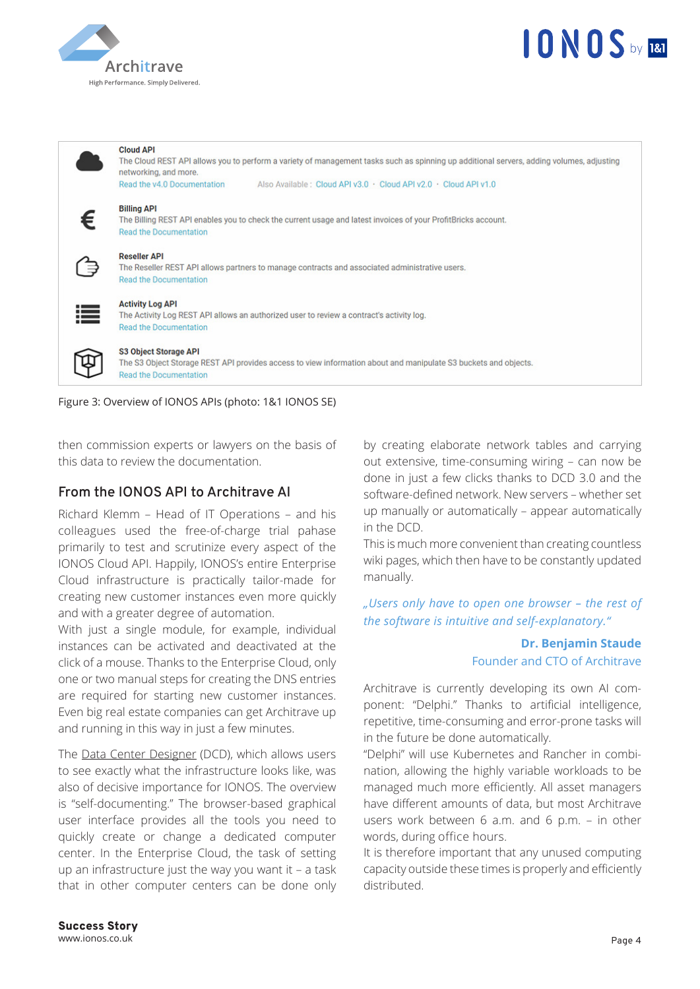



Figure 3: Overview of IONOS APIs (photo: 1&1 IONOS SE)

then commission experts or lawyers on the basis of this data to review the documentation.

### **From the IONOS API to Architrave AI**

Richard Klemm – Head of IT Operations – and his colleagues used the free-of-charge trial pahase primarily to test and scrutinize every aspect of the IONOS Cloud API. Happily, IONOS's entire Enterprise Cloud infrastructure is practically tailor-made for creating new customer instances even more quickly and with a greater degree of automation.

With just a single module, for example, individual instances can be activated and deactivated at the click of a mouse. Thanks to the Enterprise Cloud, only one or two manual steps for creating the DNS entries are required for starting new customer instances. Even big real estate companies can get Architrave up and running in this way in just a few minutes.

The [Data Center Designer](https://www.ionos.com/pro/enterprise-cloud/data-center-designer/) (DCD), which allows users to see exactly what the infrastructure looks like, was also of decisive importance for IONOS. The overview is "self-documenting." The browser-based graphical user interface provides all the tools you need to quickly create or change a dedicated computer center. In the Enterprise Cloud, the task of setting up an infrastructure just the way you want it – a task that in other computer centers can be done only

by creating elaborate network tables and carrying out extensive, time-consuming wiring – can now be done in just a few clicks thanks to DCD 3.0 and the software-defined network. New servers – whether set up manually or automatically – appear automatically in the DCD.

This is much more convenient than creating countless wiki pages, which then have to be constantly updated manually.

*"Users only have to open one browser – the rest of the software is intuitive and self-explanatory."*

#### **Dr. Benjamin Staude**  Founder and CTO of Architrave

Architrave is currently developing its own AI component: "Delphi." Thanks to artificial intelligence, repetitive, time-consuming and error-prone tasks will in the future be done automatically.

"Delphi" will use Kubernetes and Rancher in combination, allowing the highly variable workloads to be managed much more efficiently. All asset managers have different amounts of data, but most Architrave users work between 6 a.m. and 6 p.m. – in other words, during office hours.

It is therefore important that any unused computing capacity outside these times is properly and efficiently distributed.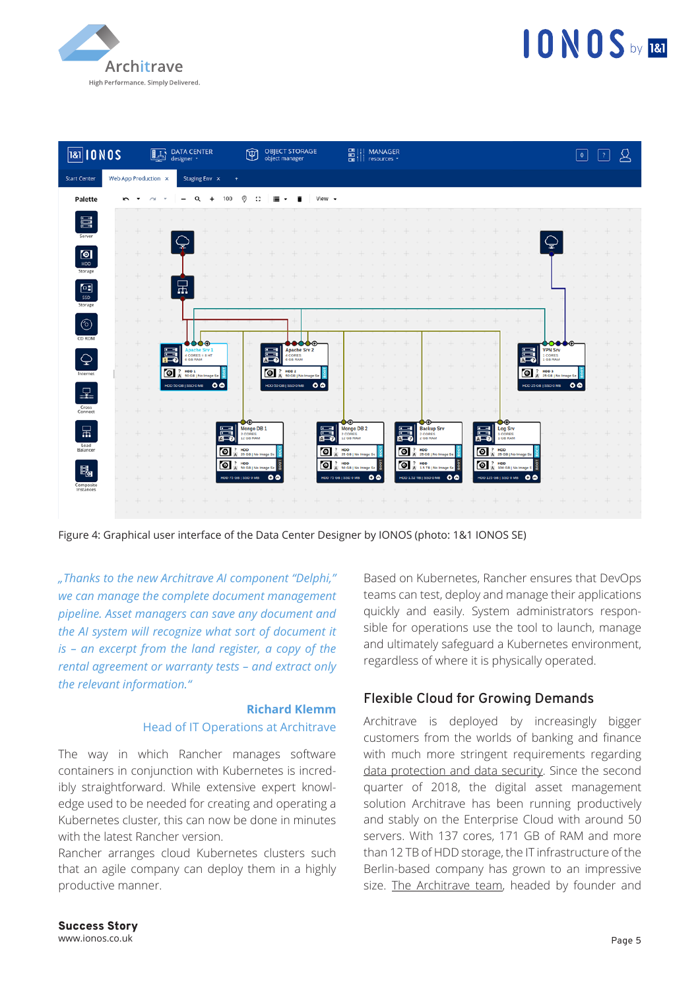





Figure 4: Graphical user interface of the Data Center Designer by IONOS (photo: 1&1 IONOS SE)

*"Thanks to the new Architrave AI component "Delphi," we can manage the complete document management pipeline. Asset managers can save any document and the AI system will recognize what sort of document it is – an excerpt from the land register, a copy of the rental agreement or warranty tests – and extract only the relevant information."*

## **Richard Klemm**

### Head of IT Operations at Architrave

The way in which Rancher manages software containers in conjunction with Kubernetes is incredibly straightforward. While extensive expert knowledge used to be needed for creating and operating a Kubernetes cluster, this can now be done in minutes with the latest Rancher version.

Rancher arranges cloud Kubernetes clusters such that an agile company can deploy them in a highly productive manner.

Based on Kubernetes, Rancher ensures that DevOps teams can test, deploy and manage their applications quickly and easily. System administrators responsible for operations use the tool to launch, manage and ultimately safeguard a Kubernetes environment, regardless of where it is physically operated.

### **Flexible Cloud for Growing Demands**

Architrave is deployed by increasingly bigger customers from the worlds of banking and finance with much more stringent requirements regarding [data protection and data security.](https://www.ionos.com/pro/enterprise-cloud/
) Since the second quarter of 2018, the digital asset management solution Architrave has been running productively and stably on the Enterprise Cloud with around 50 servers. With 137 cores, 171 GB of RAM and more than 12 TB of HDD storage, the IT infrastructure of the Berlin-based company has grown to an impressive size. [The Architrave team](https://www.architrave.de/en/jobs/), headed by founder and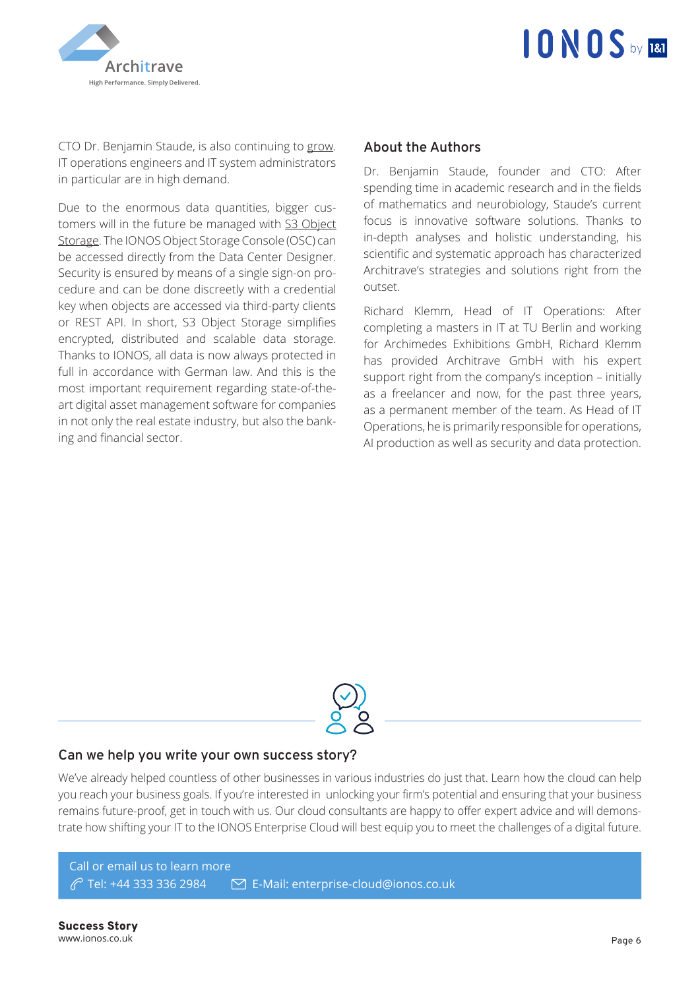



CTO Dr. Benjamin Staude, is also continuing to [grow.](https://www.architrave.de/en/jobs/) IT operations engineers and IT system administrators in particular are in high demand.

Due to the enormous data quantities, bigger customers will in the future be managed with S3 Object [Storage](https://www.ionos.com/pro/object-storage/). The IONOS Object Storage Console (OSC) can be accessed directly from the Data Center Designer. Security is ensured by means of a single sign-on procedure and can be done discreetly with a credential key when objects are accessed via third-party clients or REST API. In short, S3 Object Storage simplifies encrypted, distributed and scalable data storage. Thanks to IONOS, all data is now always protected in full in accordance with German law. And this is the most important requirement regarding state-of-theart digital asset management software for companies in not only the real estate industry, but also the banking and financial sector.

#### **About the Authors**

Dr. Benjamin Staude, founder and CTO: After spending time in academic research and in the fields of mathematics and neurobiology, Staude's current focus is innovative software solutions. Thanks to in-depth analyses and holistic understanding, his scientific and systematic approach has characterized Architrave's strategies and solutions right from the outset.

Richard Klemm, Head of IT Operations: After completing a masters in IT at TU Berlin and working for Archimedes Exhibitions GmbH, Richard Klemm has provided Architrave GmbH with his expert support right from the company's inception – initially as a freelancer and now, for the past three years, as a permanent member of the team. As Head of IT Operations, he is primarily responsible for operations, AI production as well as security and data protection.



#### **Can we help you write your own success story?**

We've already helped countless of other businesses in various industries do just that. Learn how the cloud can help you reach your business goals. If you're interested in unlocking your firm's potential and ensuring that your business remains future-proof, get in touch with us. Our cloud consultants are happy to offer expert advice and will demonstrate how shifting your IT to the IONOS Enterprise Cloud will best equip you to meet the challenges of a digital future.

Call or email us to learn more Tel: +44 333 336 2984 E-Mail: enterprise-cloud@ionos.co.uk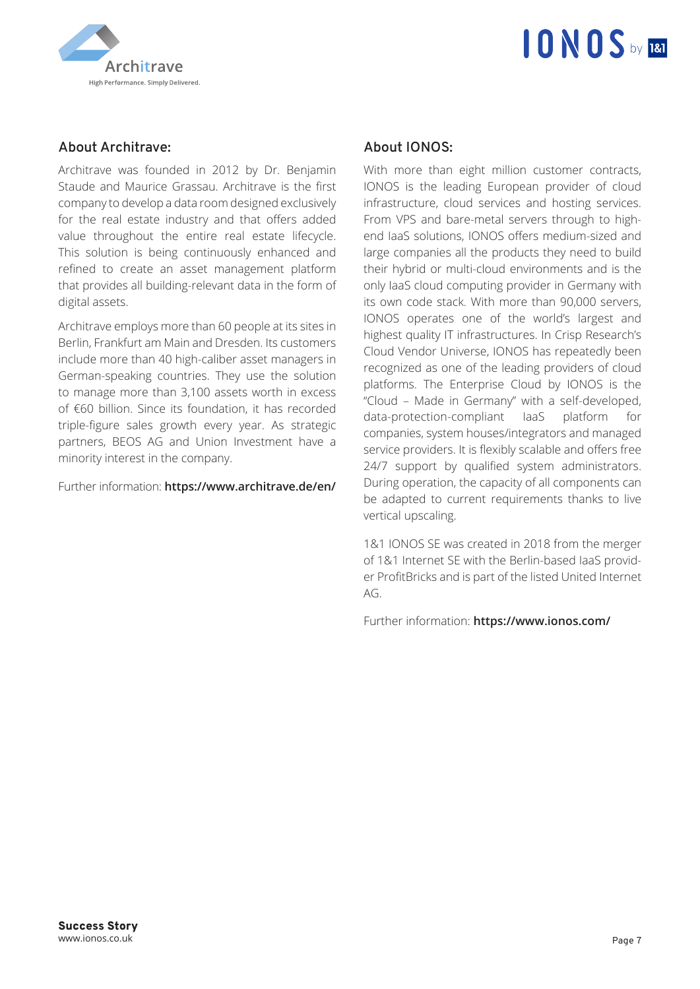

### **About Architrave:**

Architrave was founded in 2012 by Dr. Benjamin Staude and Maurice Grassau. Architrave is the first company to develop a data room designed exclusively for the real estate industry and that offers added value throughout the entire real estate lifecycle. This solution is being continuously enhanced and refined to create an asset management platform that provides all building-relevant data in the form of digital assets.

Architrave employs more than 60 people at its sites in Berlin, Frankfurt am Main and Dresden. Its customers include more than 40 high-caliber asset managers in German-speaking countries. They use the solution to manage more than 3,100 assets worth in excess of €60 billion. Since its foundation, it has recorded triple-figure sales growth every year. As strategic partners, BEOS AG and Union Investment have a minority interest in the company.

Further information: **https://www.architrave.de/en/**

## **About IONOS:**

With more than eight million customer contracts, IONOS is the leading European provider of cloud infrastructure, cloud services and hosting services. From VPS and bare-metal servers through to highend IaaS solutions, IONOS offers medium-sized and large companies all the products they need to build their hybrid or multi-cloud environments and is the only IaaS cloud computing provider in Germany with its own code stack. With more than 90,000 servers, IONOS operates one of the world's largest and highest quality IT infrastructures. In Crisp Research's Cloud Vendor Universe, IONOS has repeatedly been recognized as one of the leading providers of cloud platforms. The Enterprise Cloud by IONOS is the "Cloud – Made in Germany" with a self-developed, data-protection-compliant IaaS platform for companies, system houses/integrators and managed service providers. It is flexibly scalable and offers free 24/7 support by qualified system administrators. During operation, the capacity of all components can be adapted to current requirements thanks to live vertical upscaling.

1&1 IONOS SE was created in 2018 from the merger of 1&1 Internet SE with the Berlin-based IaaS provider ProfitBricks and is part of the listed United Internet AG.

Further information: **https://www.ionos.com/**